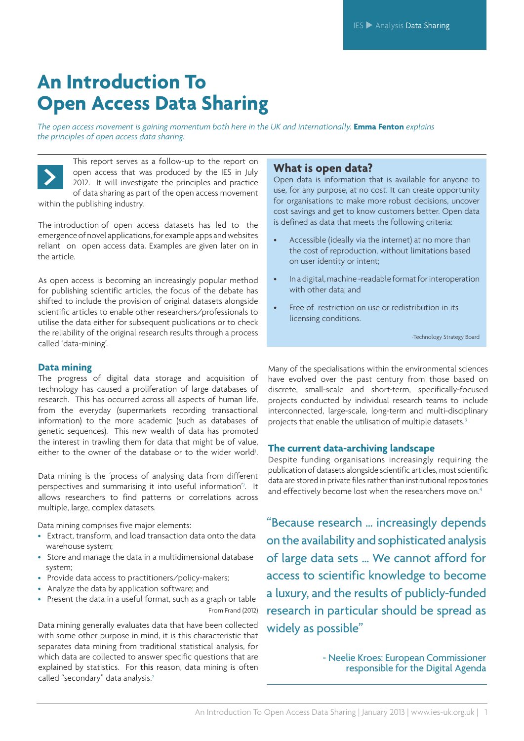*The open access movement is gaining momentum both here in the UK and internationally.* **Emma Fenton** *explains the principles of open access data sharing.*



This report serves as a follow-up to the report on open access that was produced by the IES in July 2012. It will investigate the principles and practice of data sharing as part of the open access movement within the publishing industry.

The introduction of open access datasets has led to the emergence of novel applications, for example apps and websites reliant on open access data. Examples are given later on in the article. article.

As open access is becoming an increasingly popular method for publishing scientific articles, the focus of the debate has shifted to include the provision of original datasets alongside scientific articles to enable other researchers/professionals to utilise the data either for subsequent publications or to check the reliability of the original research results through a process called 'data-mining'.

#### **Data mining**

The progress of digital data storage and acquisition of technology has caused a proliferation of large databases of research. This has occurred across all aspects of human life, from the everyday (supermarkets recording transactional information) to the more academic (such as databases of genetic sequences). This new wealth of data has promoted the interest in trawling them for data that might be of value, either to the owner of the database or to the wider world<sup>1</sup>. .

Data mining is the 'process of analysing data from different perspectives and summarising it into useful information<sup>7</sup>. It allows researchers to find patterns or correlations across multiple, large, complex datasets.

Data mining comprises five major elements:

- Extract, transform, and load transaction data onto the data warehouse system;
- Store and manage the data in a multidimensional database system;
- Provide data access to practitioners/policy-makers;
- Analyze the data by application software; and
- Present the data in a useful format, such as a graph or table From Frand (2012)

Data mining generally evaluates data that have been collected with some other purpose in mind, it is this characteristic that separates data mining from traditional statistical analysis, for which data are collected to answer specific questions that are explained by statistics. For this reason, data mining is often called "secondary" data analysis.<sup>2</sup>

### **What is open data?**

Open data is information that is available for anyone to use, for any purpose, at no cost. It can create opportunity for organisations to make more robust decisions, uncover cost savings and get to know customers better. Open data is defined as data that meets the following criteria:

- Accessible (ideally via the internet) at no more than the cost of reproduction, without limitations based on user identity or intent;
- In a digital, machine -readable format for interoperation with other data; and
- Free of restriction on use or redistribution in its licensing conditions.

-Technology Strategy Board

Many of the specialisations within the environmental sciences have evolved over the past century from those based on discrete, small-scale and short-term, specifically-focused projects conducted by individual research teams to include interconnected, large-scale, long-term and multi-disciplinary projects that enable the utilisation of multiple datasets.<sup>3</sup>

#### **The current data-archiving landscape**

Despite funding organisations increasingly requiring the publication of datasets alongside scientific articles, most scientific data are stored in private files rather than institutional repositories and effectively become lost when the researchers move on.<sup>4</sup>

"Because research … increasingly depends on the availability and sophisticated analysis of large data sets … We cannot afford for access to scientific knowledge to become a luxury, and the results of publicly-funded research in particular should be spread as widely as possible"

> - Neelie Kroes: European Commissioner responsible for the Digital Agenda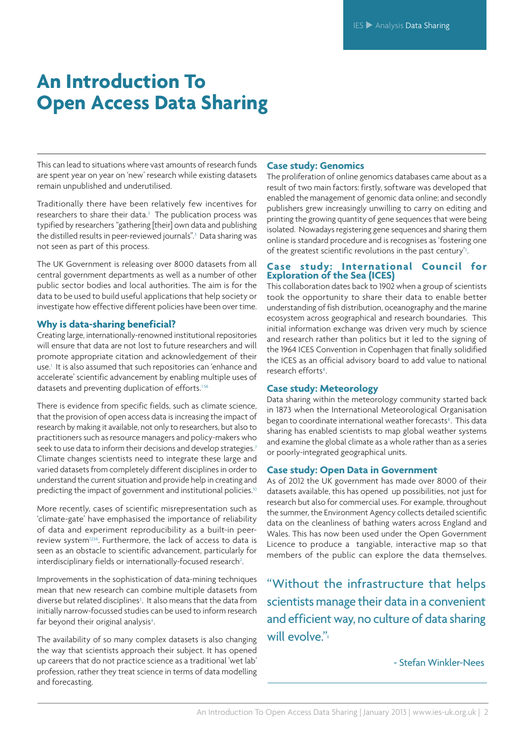This can lead to situations where vast amounts of research funds are spent year on year on 'new' research while existing datasets remain unpublished and underutilised.

Traditionally there have been relatively few incentives for researchers to share their data.<sup>3</sup> The publication process was typified by researchers "gathering [their] own data and publishing the distilled results in peer-reviewed journals".<sup>3</sup> Data sharing was not seen as part of this process.

The UK Government is releasing over 8000 datasets from all central government departments as well as a number of other public sector bodies and local authorities. The aim is for the data to be used to build useful applications that help society or investigate how effective different policies have been over time.

#### **Why is data-sharing beneficial?**

Creating large, internationally-renowned institutional repositories will ensure that data are not lost to future researchers and will promote appropriate citation and acknowledgement of their use.1 It is also assumed that such repositories can 'enhance and accelerate' scientific advancement by enabling multiple uses of datasets and preventing duplication of efforts.<sup>156</sup>

There is evidence from specific fields, such as climate science, that the provision of open access data is increasing the impact of research by making it available, not only to researchers, but also to practitioners such as resource managers and policy-makers who seek to use data to inform their decisions and develop strategies.<sup>7</sup> Climate changes scientists need to integrate these large and varied datasets from completely different disciplines in order to understand the current situation and provide help in creating and predicting the impact of government and institutional policies.<sup>10</sup>

More recently, cases of scientific misrepresentation such as 'climate-gate' have emphasised the importance of reliability of data and experiment reproducibility as a built-in peerreview system1234. Furthermore, the lack of access to data is seen as an obstacle to scientific advancement, particularly for interdisciplinary fields or internationally-focused research<sup>2</sup>. .

Improvements in the sophistication of data-mining techniques mean that new research can combine multiple datasets from diverse but related disciplines<sup>3</sup>. It also means that the data from initially narrow-focussed studies can be used to inform research far beyond their original analysis<sup>4</sup>. .

The availability of so many complex datasets is also changing the way that scientists approach their subject. It has opened up careers that do not practice science as a traditional 'wet lab' profession, rather they treat science in terms of data modelling and forecasting.

#### **Case study: Genomics**

The proliferation of online genomics databases came about as a result of two main factors: firstly, software was developed that enabled the management of genomic data online; and secondly publishers grew increasingly unwilling to carry on editing and printing the growing quantity of gene sequences that were being isolated. Nowadays registering gene sequences and sharing them online is standard procedure and is recognises as 'fostering one of the greatest scientific revolutions in the past century'3 .

#### **Case study: International Council for Exploration of the Sea (ICES)**

This collaboration dates back to 1902 when a group of scientists took the opportunity to share their data to enable better understanding of fish distribution, oceanography and the marine ecosystem across geographical and research boundaries. This initial information exchange was driven very much by science and research rather than politics but it led to the signing of the 1964 ICES Convention in Copenhagen that finally solidified the ICES as an official advisory board to add value to national research efforts<sup>8</sup>.

#### **Case study: Meteorology**

Data sharing within the meteorology community started back in 1873 when the International Meteorological Organisation began to coordinate international weather forecasts<sup>8</sup>. This data sharing has enabled scientists to map global weather systems and examine the global climate as a whole rather than as a series or poorly-integrated geographical units.

#### **Case study: Open Data in Government**

As of 2012 the UK government has made over 8000 of their datasets available, this has opened up possibilities, not just for research but also for commercial uses. For example, throughout the summer, the Environment Agency collects detailed scientific data on the cleanliness of bathing waters across England and Wales. This has now been used under the Open Government Licence to produce a tangiable, interactive map so that members of the public can explore the data themselves.

"Without the infrastructure that helps scientists manage their data in a convenient and efficient way, no culture of data sharing will evolve."

### - Stefan Winkler-Nees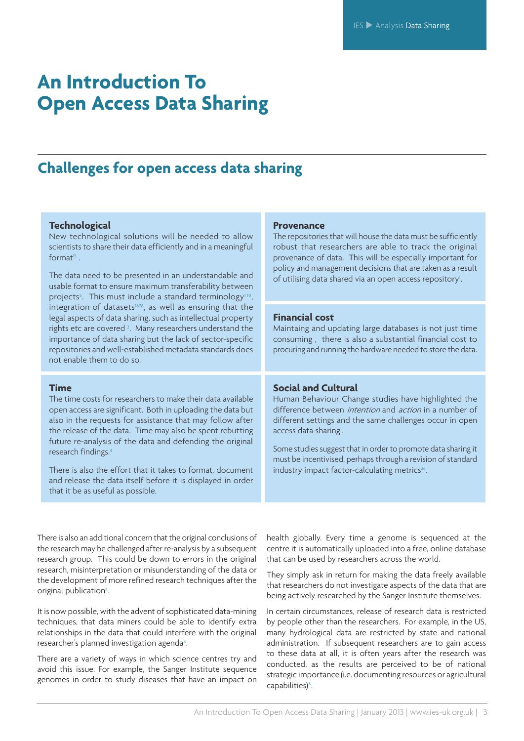### **Challenges for open access data sharing**

#### **Technological**

New technological solutions will be needed to allow scientists to share their data efficiently and in a meaningful  $f$ orm $a<sup>15</sup>$ 

The data need to be presented in an understandable and usable format to ensure maximum transferability between projects<sup>5</sup>. This must include a standard terminology<sup>110</sup>, integration of datasets $1678$ , as well as ensuring that the legal aspects of data sharing, such as intellectual property rights etc are covered<sup>2</sup>. Many researchers understand the importance of data sharing but the lack of sector-specific repositories and well-established metadata standards does not enable them to do so.

#### **Time**

The time costs for researchers to make their data available open access are significant. Both in uploading the data but also in the requests for assistance that may follow after the release of the data. Time may also be spent rebutting future re-analysis of the data and defending the original research findings.4

There is also the effort that it takes to format, document and release the data itself before it is displayed in order that it be as useful as possible.

#### **Provenance**

The repositories that will house the data must be sufficiently robust that researchers are able to track the original provenance of data. This will be especially important for policy and management decisions that are taken as a result of utilising data shared via an open access repository<sup>1</sup>. .

#### **Financial cost**

Maintaing and updating large databases is not just time consuming , there is also a substantial financial cost to procuring and running the hardware needed to store the data.

#### **Social and Cultural**

Human Behaviour Change studies have highlighted the difference between *intention* and *action* in a number of different settings and the same challenges occur in open access data sharing<sup>1</sup>.

Some studies suggest that in order to promote data sharing it must be incentivised, perhaps through a revision of standard industry impact factor-calculating metrics<sup>26</sup>.

There is also an additional concern that the original conclusions of the research may be challenged after re-analysis by a subsequent research group. This could be down to errors in the original research, misinterpretation or misunderstanding of the data or the development of more refined research techniques after the original publication<sup>4</sup>. .

It is now possible, with the advent of sophisticated data-mining techniques, that data miners could be able to identify extra relationships in the data that could interfere with the original researcher's planned investigation agenda<sup>4</sup>. .

There are a variety of ways in which science centres try and avoid this issue. For example, the Sanger Institute sequence genomes in order to study diseases that have an impact on health globally. Every time a genome is sequenced at the centre it is automatically uploaded into a free, online database that can be used by researchers across the world.

They simply ask in return for making the data freely available that researchers do not investigate aspects of the data that are being actively researched by the Sanger Institute themselves.

In certain circumstances, release of research data is restricted by people other than the researchers. For example, in the US, many hydrological data are restricted by state and national administration. If subsequent researchers are to gain access to these data at all, it is often years after the research was conducted, as the results are perceived to be of national strategic importance (i.e. documenting resources or agricultural capabilities)<sup>6</sup>. .